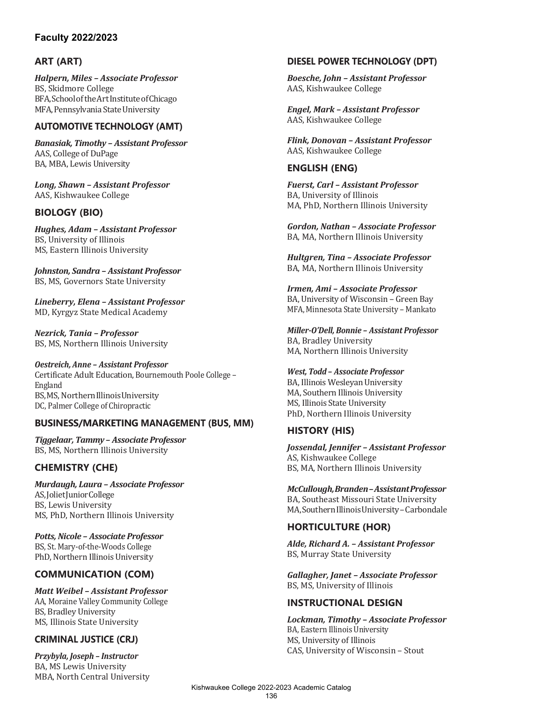# **Faculty 2022/2023**

# **ART (ART)**

*Halpern, Miles – Associate Professor* BS, Skidmore College BFA,SchooloftheArtInstituteofChicago MFA, Pennsylvania State University

## **AUTOMOTIVE TECHNOLOGY (AMT)**

*Banasiak, Timothy – Assistant Professor* AAS, College of DuPage BA, MBA, Lewis University

**Long, Shawn - Assistant Professor** AAS, Kishwaukee College

## **BIOLOGY (BIO)**

*Hughes, Adam – Assistant Professor* BS, University of Illinois MS, Eastern Illinois University

*Johnston, Sandra – Assistant Professor* BS, MS, Governors State University

*Lineberry, Elena – Assistant Professor* MD, Kyrgyz State Medical Academy

*Nezrick, Tania – Professor* BS, MS, Northern Illinois University

#### **Oestreich, Anne - Assistant Professor**

Certificate Adult Education, Bournemouth Poole College -England BS,MS, NorthernIllinoisUniversity DC, Palmer College of Chiropractic

#### **BUSINESS/MARKETING MANAGEMENT (BUS, MM)**

*Tiggelaar, Tammy – Associate Professor* BS, MS, Northern Illinois University

# **CHEMISTRY (CHE)**

*Murdaugh, Laura – Associate Professor* AS,JolietJuniorCollege BS, Lewis University MS, PhD, Northern Illinois University

**Potts, Nicole - Associate Professor** BS, St. Mary-of-the-Woods College PhD, Northern Illinois University

# **COMMUNICATION (COM)**

*Matt Weibel – Assistant Professor* AA, Moraine Valley Community College BS, Bradley University MS, Illinois State University

#### **CRIMINAL JUSTICE (CRJ)**

*Przybyla, Joseph – Instructor* BA, MS Lewis University MBA, North Central University

#### **DIESEL POWER TECHNOLOGY (DPT)**

*Boesche, John – Assistant Professor* AAS, Kishwaukee College

*Engel, Mark – Assistant Professor* AAS, Kishwaukee College

*Flink, Donovan – Assistant Professor* AAS, Kishwaukee College

## **ENGLISH (ENG)**

*Fuerst, Carl – Assistant Professor* BA, University of Illinois MA, PhD, Northern Illinois University

*Gordon, Nathan – Associate Professor* BA, MA, Northern Illinois University

*Hultgren, Tina – Associate Professor* BA, MA, Northern Illinois University

*Irmen, Ami – Associate Professor* BA, University of Wisconsin – Green Bay MFA, Minnesota State University - Mankato

*Miller-O'Dell, Bonnie – Assistant Professor* BA, Bradley University MA, Northern Illinois University

*West, Todd – Associate Professor* BA, Illinois Wesleyan University MA, Southern Illinois University MS, Illinois State University PhD, Northern Illinois University

#### **HISTORY (HIS)**

*Jossendal, Jennifer – Assistant Professor* AS, Kishwaukee College BS, MA, Northern Illinois University

*McCullough,Branden – AssistantProfessor* BA, Southeast Missouri State University MA, Southern Illinois University - Carbondale

#### **HORTICULTURE (HOR)**

*Alde, Richard A. – Assistant Professor* BS, Murray State University

*Gallagher, Janet – Associate Professor* BS, MS, University of Illinois

# **INSTRUCTIONAL DESIGN**

*Lockman, Timothy – Associate Professor* BA, Eastern Illinois University MS, University of Illinois CAS, University of Wisconsin - Stout